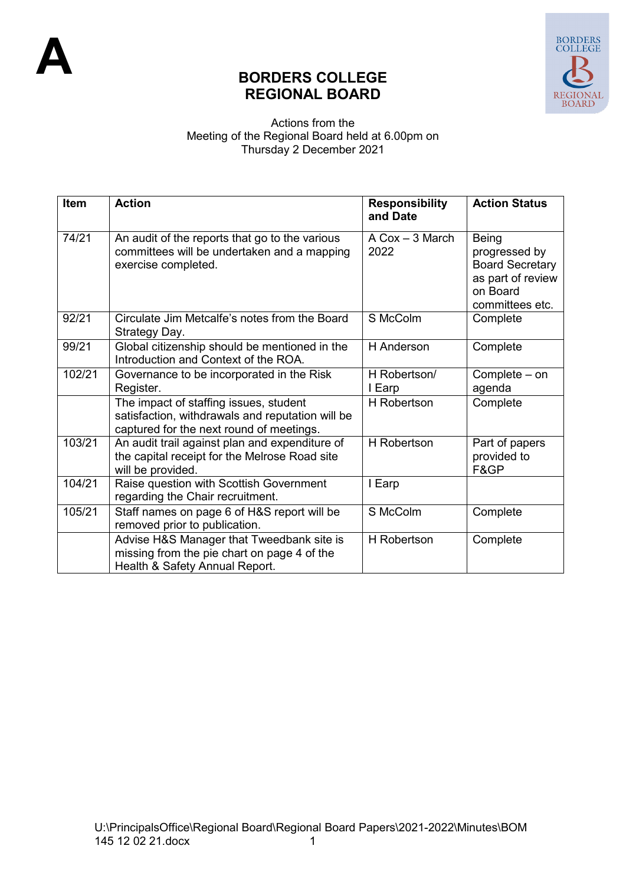

## **BORDERS COLLEGE REGIONAL BOARD**

## Actions from the Meeting of the Regional Board held at 6.00pm on Thursday 2 December 2021

| <b>Item</b> | <b>Action</b>                                                                                                                          | <b>Responsibility</b><br>and Date         | <b>Action Status</b>                                                                                 |
|-------------|----------------------------------------------------------------------------------------------------------------------------------------|-------------------------------------------|------------------------------------------------------------------------------------------------------|
| 74/21       | An audit of the reports that go to the various<br>committees will be undertaken and a mapping<br>exercise completed.                   | $A \text{ Cox} - 3 \text{ March}$<br>2022 | Being<br>progressed by<br><b>Board Secretary</b><br>as part of review<br>on Board<br>committees etc. |
| 92/21       | Circulate Jim Metcalfe's notes from the Board<br>Strategy Day.                                                                         | S McColm                                  | Complete                                                                                             |
| 99/21       | Global citizenship should be mentioned in the<br>Introduction and Context of the ROA.                                                  | <b>H</b> Anderson                         | Complete                                                                                             |
| 102/21      | Governance to be incorporated in the Risk<br>Register.                                                                                 | H Robertson/<br>I Earp                    | Complete – on<br>agenda                                                                              |
|             | The impact of staffing issues, student<br>satisfaction, withdrawals and reputation will be<br>captured for the next round of meetings. | H Robertson                               | Complete                                                                                             |
| 103/21      | An audit trail against plan and expenditure of<br>the capital receipt for the Melrose Road site<br>will be provided.                   | <b>H</b> Robertson                        | Part of papers<br>provided to<br>F&GP                                                                |
| 104/21      | Raise question with Scottish Government<br>regarding the Chair recruitment.                                                            | I Earp                                    |                                                                                                      |
| 105/21      | Staff names on page 6 of H&S report will be<br>removed prior to publication.                                                           | S McColm                                  | Complete                                                                                             |
|             | Advise H&S Manager that Tweedbank site is<br>missing from the pie chart on page 4 of the<br>Health & Safety Annual Report.             | <b>H</b> Robertson                        | Complete                                                                                             |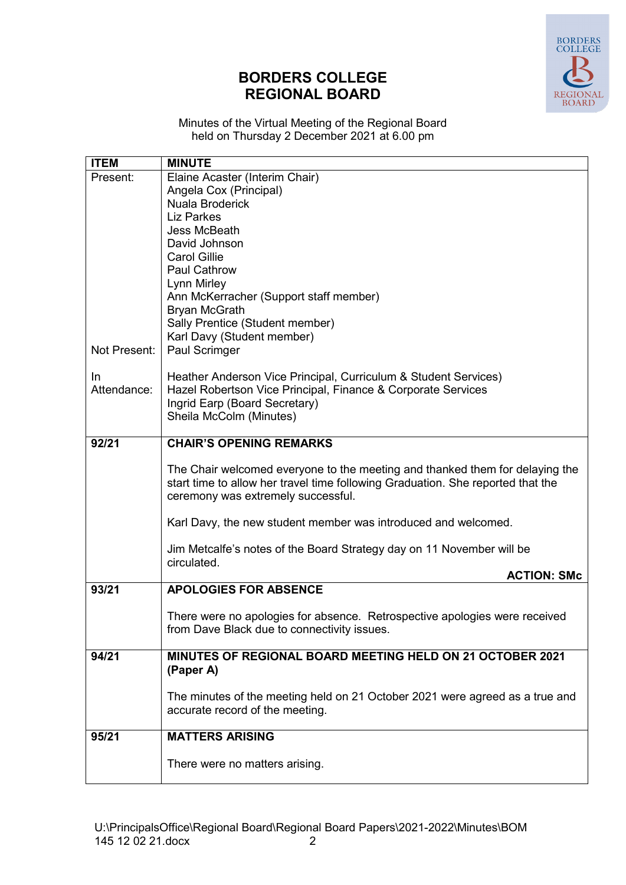

## **BORDERS COLLEGE REGIONAL BOARD**

Minutes of the Virtual Meeting of the Regional Board held on Thursday 2 December 2021 at 6.00 pm

| <b>ITEM</b>  | <b>MINUTE</b>                                                                                                         |
|--------------|-----------------------------------------------------------------------------------------------------------------------|
| Present:     | Elaine Acaster (Interim Chair)                                                                                        |
|              | Angela Cox (Principal)                                                                                                |
|              | Nuala Broderick                                                                                                       |
|              | <b>Liz Parkes</b>                                                                                                     |
|              | Jess McBeath                                                                                                          |
|              | David Johnson                                                                                                         |
|              | <b>Carol Gillie</b>                                                                                                   |
|              | <b>Paul Cathrow</b>                                                                                                   |
|              | Lynn Mirley                                                                                                           |
|              | Ann McKerracher (Support staff member)                                                                                |
|              | <b>Bryan McGrath</b>                                                                                                  |
|              | Sally Prentice (Student member)                                                                                       |
|              | Karl Davy (Student member)                                                                                            |
| Not Present: | Paul Scrimger                                                                                                         |
|              |                                                                                                                       |
| In.          | Heather Anderson Vice Principal, Curriculum & Student Services)                                                       |
| Attendance:  | Hazel Robertson Vice Principal, Finance & Corporate Services                                                          |
|              | Ingrid Earp (Board Secretary)                                                                                         |
|              | Sheila McColm (Minutes)                                                                                               |
|              |                                                                                                                       |
| 92/21        | <b>CHAIR'S OPENING REMARKS</b>                                                                                        |
|              | The Chair welcomed everyone to the meeting and thanked them for delaying the                                          |
|              | start time to allow her travel time following Graduation. She reported that the<br>ceremony was extremely successful. |
|              |                                                                                                                       |
|              | Karl Davy, the new student member was introduced and welcomed.                                                        |
|              | Jim Metcalfe's notes of the Board Strategy day on 11 November will be<br>circulated.                                  |
|              | <b>ACTION: SMc</b>                                                                                                    |
| 93/21        | <b>APOLOGIES FOR ABSENCE</b>                                                                                          |
|              |                                                                                                                       |
|              | There were no apologies for absence. Retrospective apologies were received                                            |
|              | from Dave Black due to connectivity issues.                                                                           |
|              |                                                                                                                       |
| 94/21        | <b>MINUTES OF REGIONAL BOARD MEETING HELD ON 21 OCTOBER 2021</b>                                                      |
|              | (Paper A)                                                                                                             |
|              |                                                                                                                       |
|              | The minutes of the meeting held on 21 October 2021 were agreed as a true and                                          |
|              | accurate record of the meeting.                                                                                       |
|              |                                                                                                                       |
| 95/21        | <b>MATTERS ARISING</b>                                                                                                |
|              |                                                                                                                       |
|              | There were no matters arising.                                                                                        |
|              |                                                                                                                       |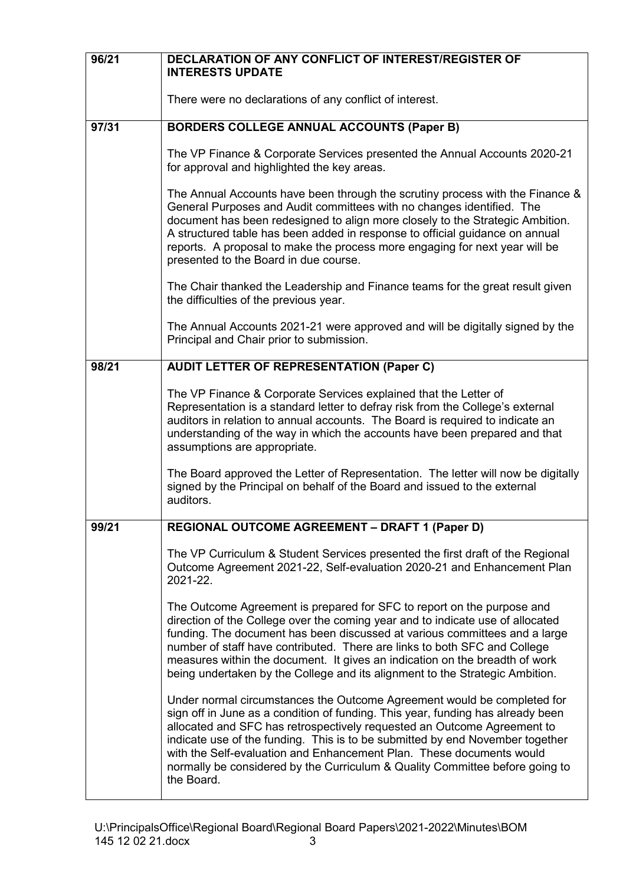| 96/21 | DECLARATION OF ANY CONFLICT OF INTEREST/REGISTER OF<br><b>INTERESTS UPDATE</b>                                                                                                                                                                                                                                                                                                                                                                                                               |
|-------|----------------------------------------------------------------------------------------------------------------------------------------------------------------------------------------------------------------------------------------------------------------------------------------------------------------------------------------------------------------------------------------------------------------------------------------------------------------------------------------------|
|       | There were no declarations of any conflict of interest.                                                                                                                                                                                                                                                                                                                                                                                                                                      |
| 97/31 | <b>BORDERS COLLEGE ANNUAL ACCOUNTS (Paper B)</b>                                                                                                                                                                                                                                                                                                                                                                                                                                             |
|       | The VP Finance & Corporate Services presented the Annual Accounts 2020-21<br>for approval and highlighted the key areas.                                                                                                                                                                                                                                                                                                                                                                     |
|       | The Annual Accounts have been through the scrutiny process with the Finance &<br>General Purposes and Audit committees with no changes identified. The<br>document has been redesigned to align more closely to the Strategic Ambition.<br>A structured table has been added in response to official guidance on annual<br>reports. A proposal to make the process more engaging for next year will be<br>presented to the Board in due course.                                              |
|       | The Chair thanked the Leadership and Finance teams for the great result given<br>the difficulties of the previous year.                                                                                                                                                                                                                                                                                                                                                                      |
|       | The Annual Accounts 2021-21 were approved and will be digitally signed by the<br>Principal and Chair prior to submission.                                                                                                                                                                                                                                                                                                                                                                    |
| 98/21 | <b>AUDIT LETTER OF REPRESENTATION (Paper C)</b>                                                                                                                                                                                                                                                                                                                                                                                                                                              |
|       | The VP Finance & Corporate Services explained that the Letter of<br>Representation is a standard letter to defray risk from the College's external<br>auditors in relation to annual accounts. The Board is required to indicate an<br>understanding of the way in which the accounts have been prepared and that<br>assumptions are appropriate.                                                                                                                                            |
|       | The Board approved the Letter of Representation. The letter will now be digitally<br>signed by the Principal on behalf of the Board and issued to the external<br>auditors.                                                                                                                                                                                                                                                                                                                  |
| 99/21 | <b>REGIONAL OUTCOME AGREEMENT - DRAFT 1 (Paper D)</b>                                                                                                                                                                                                                                                                                                                                                                                                                                        |
|       | The VP Curriculum & Student Services presented the first draft of the Regional<br>Outcome Agreement 2021-22, Self-evaluation 2020-21 and Enhancement Plan<br>2021-22.                                                                                                                                                                                                                                                                                                                        |
|       | The Outcome Agreement is prepared for SFC to report on the purpose and<br>direction of the College over the coming year and to indicate use of allocated<br>funding. The document has been discussed at various committees and a large<br>number of staff have contributed. There are links to both SFC and College<br>measures within the document. It gives an indication on the breadth of work<br>being undertaken by the College and its alignment to the Strategic Ambition.           |
|       | Under normal circumstances the Outcome Agreement would be completed for<br>sign off in June as a condition of funding. This year, funding has already been<br>allocated and SFC has retrospectively requested an Outcome Agreement to<br>indicate use of the funding. This is to be submitted by end November together<br>with the Self-evaluation and Enhancement Plan. These documents would<br>normally be considered by the Curriculum & Quality Committee before going to<br>the Board. |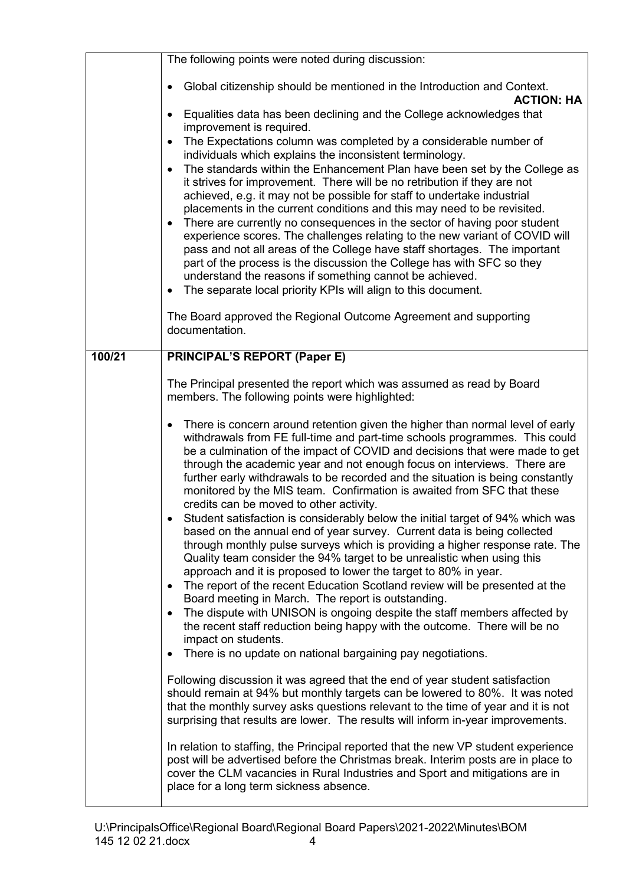|        | The following points were noted during discussion:                                                                                                                                                                                                                                                                                                                                                                                                                                                                                                                                                                                                                                                                                                                                                                                                                                                                                  |
|--------|-------------------------------------------------------------------------------------------------------------------------------------------------------------------------------------------------------------------------------------------------------------------------------------------------------------------------------------------------------------------------------------------------------------------------------------------------------------------------------------------------------------------------------------------------------------------------------------------------------------------------------------------------------------------------------------------------------------------------------------------------------------------------------------------------------------------------------------------------------------------------------------------------------------------------------------|
|        | Global citizenship should be mentioned in the Introduction and Context.<br><b>ACTION: HA</b>                                                                                                                                                                                                                                                                                                                                                                                                                                                                                                                                                                                                                                                                                                                                                                                                                                        |
|        | Equalities data has been declining and the College acknowledges that<br>$\bullet$<br>improvement is required.                                                                                                                                                                                                                                                                                                                                                                                                                                                                                                                                                                                                                                                                                                                                                                                                                       |
|        | The Expectations column was completed by a considerable number of<br>$\bullet$<br>individuals which explains the inconsistent terminology.                                                                                                                                                                                                                                                                                                                                                                                                                                                                                                                                                                                                                                                                                                                                                                                          |
|        | The standards within the Enhancement Plan have been set by the College as<br>$\bullet$<br>it strives for improvement. There will be no retribution if they are not                                                                                                                                                                                                                                                                                                                                                                                                                                                                                                                                                                                                                                                                                                                                                                  |
|        | achieved, e.g. it may not be possible for staff to undertake industrial                                                                                                                                                                                                                                                                                                                                                                                                                                                                                                                                                                                                                                                                                                                                                                                                                                                             |
|        | placements in the current conditions and this may need to be revisited.<br>There are currently no consequences in the sector of having poor student<br>$\bullet$                                                                                                                                                                                                                                                                                                                                                                                                                                                                                                                                                                                                                                                                                                                                                                    |
|        | experience scores. The challenges relating to the new variant of COVID will<br>pass and not all areas of the College have staff shortages. The important                                                                                                                                                                                                                                                                                                                                                                                                                                                                                                                                                                                                                                                                                                                                                                            |
|        | part of the process is the discussion the College has with SFC so they<br>understand the reasons if something cannot be achieved.                                                                                                                                                                                                                                                                                                                                                                                                                                                                                                                                                                                                                                                                                                                                                                                                   |
|        | The separate local priority KPIs will align to this document.<br>$\bullet$                                                                                                                                                                                                                                                                                                                                                                                                                                                                                                                                                                                                                                                                                                                                                                                                                                                          |
|        | The Board approved the Regional Outcome Agreement and supporting<br>documentation.                                                                                                                                                                                                                                                                                                                                                                                                                                                                                                                                                                                                                                                                                                                                                                                                                                                  |
| 100/21 | <b>PRINCIPAL'S REPORT (Paper E)</b>                                                                                                                                                                                                                                                                                                                                                                                                                                                                                                                                                                                                                                                                                                                                                                                                                                                                                                 |
|        | The Principal presented the report which was assumed as read by Board                                                                                                                                                                                                                                                                                                                                                                                                                                                                                                                                                                                                                                                                                                                                                                                                                                                               |
|        | members. The following points were highlighted:                                                                                                                                                                                                                                                                                                                                                                                                                                                                                                                                                                                                                                                                                                                                                                                                                                                                                     |
|        | There is concern around retention given the higher than normal level of early<br>$\bullet$<br>withdrawals from FE full-time and part-time schools programmes. This could<br>be a culmination of the impact of COVID and decisions that were made to get<br>through the academic year and not enough focus on interviews. There are<br>further early withdrawals to be recorded and the situation is being constantly<br>monitored by the MIS team. Confirmation is awaited from SFC that these<br>credits can be moved to other activity.<br>Student satisfaction is considerably below the initial target of 94% which was<br>based on the annual end of year survey. Current data is being collected<br>through monthly pulse surveys which is providing a higher response rate. The<br>Quality team consider the 94% target to be unrealistic when using this<br>approach and it is proposed to lower the target to 80% in year. |
|        | The report of the recent Education Scotland review will be presented at the<br>$\bullet$<br>Board meeting in March. The report is outstanding.<br>The dispute with UNISON is ongoing despite the staff members affected by<br>$\bullet$                                                                                                                                                                                                                                                                                                                                                                                                                                                                                                                                                                                                                                                                                             |
|        | the recent staff reduction being happy with the outcome. There will be no<br>impact on students.                                                                                                                                                                                                                                                                                                                                                                                                                                                                                                                                                                                                                                                                                                                                                                                                                                    |
|        | There is no update on national bargaining pay negotiations.<br>$\bullet$                                                                                                                                                                                                                                                                                                                                                                                                                                                                                                                                                                                                                                                                                                                                                                                                                                                            |
|        | Following discussion it was agreed that the end of year student satisfaction<br>should remain at 94% but monthly targets can be lowered to 80%. It was noted<br>that the monthly survey asks questions relevant to the time of year and it is not<br>surprising that results are lower. The results will inform in-year improvements.                                                                                                                                                                                                                                                                                                                                                                                                                                                                                                                                                                                               |
|        | In relation to staffing, the Principal reported that the new VP student experience<br>post will be advertised before the Christmas break. Interim posts are in place to<br>cover the CLM vacancies in Rural Industries and Sport and mitigations are in<br>place for a long term sickness absence.                                                                                                                                                                                                                                                                                                                                                                                                                                                                                                                                                                                                                                  |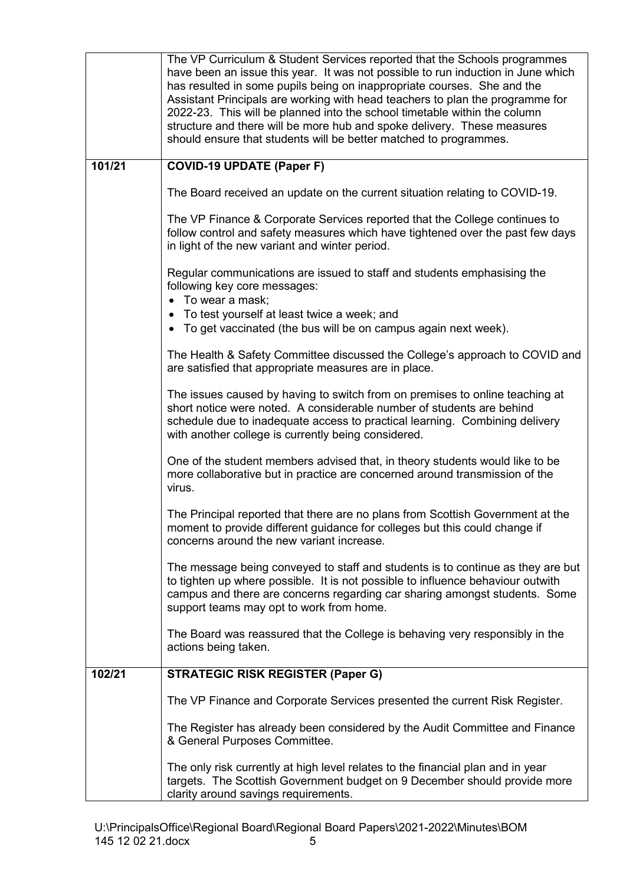|        | The VP Curriculum & Student Services reported that the Schools programmes<br>have been an issue this year. It was not possible to run induction in June which<br>has resulted in some pupils being on inappropriate courses. She and the<br>Assistant Principals are working with head teachers to plan the programme for<br>2022-23. This will be planned into the school timetable within the column<br>structure and there will be more hub and spoke delivery. These measures<br>should ensure that students will be better matched to programmes. |
|--------|--------------------------------------------------------------------------------------------------------------------------------------------------------------------------------------------------------------------------------------------------------------------------------------------------------------------------------------------------------------------------------------------------------------------------------------------------------------------------------------------------------------------------------------------------------|
| 101/21 | <b>COVID-19 UPDATE (Paper F)</b>                                                                                                                                                                                                                                                                                                                                                                                                                                                                                                                       |
|        | The Board received an update on the current situation relating to COVID-19.                                                                                                                                                                                                                                                                                                                                                                                                                                                                            |
|        | The VP Finance & Corporate Services reported that the College continues to<br>follow control and safety measures which have tightened over the past few days<br>in light of the new variant and winter period.                                                                                                                                                                                                                                                                                                                                         |
|        | Regular communications are issued to staff and students emphasising the<br>following key core messages:<br>• To wear a mask;                                                                                                                                                                                                                                                                                                                                                                                                                           |
|        | • To test yourself at least twice a week; and<br>• To get vaccinated (the bus will be on campus again next week).                                                                                                                                                                                                                                                                                                                                                                                                                                      |
|        | The Health & Safety Committee discussed the College's approach to COVID and<br>are satisfied that appropriate measures are in place.                                                                                                                                                                                                                                                                                                                                                                                                                   |
|        | The issues caused by having to switch from on premises to online teaching at<br>short notice were noted. A considerable number of students are behind<br>schedule due to inadequate access to practical learning. Combining delivery<br>with another college is currently being considered.                                                                                                                                                                                                                                                            |
|        | One of the student members advised that, in theory students would like to be<br>more collaborative but in practice are concerned around transmission of the<br>virus.                                                                                                                                                                                                                                                                                                                                                                                  |
|        | The Principal reported that there are no plans from Scottish Government at the<br>moment to provide different guidance for colleges but this could change if<br>concerns around the new variant increase.                                                                                                                                                                                                                                                                                                                                              |
|        | The message being conveyed to staff and students is to continue as they are but<br>to tighten up where possible. It is not possible to influence behaviour outwith<br>campus and there are concerns regarding car sharing amongst students. Some<br>support teams may opt to work from home.                                                                                                                                                                                                                                                           |
|        | The Board was reassured that the College is behaving very responsibly in the<br>actions being taken.                                                                                                                                                                                                                                                                                                                                                                                                                                                   |
| 102/21 | <b>STRATEGIC RISK REGISTER (Paper G)</b>                                                                                                                                                                                                                                                                                                                                                                                                                                                                                                               |
|        | The VP Finance and Corporate Services presented the current Risk Register.                                                                                                                                                                                                                                                                                                                                                                                                                                                                             |
|        | The Register has already been considered by the Audit Committee and Finance<br>& General Purposes Committee.                                                                                                                                                                                                                                                                                                                                                                                                                                           |
|        | The only risk currently at high level relates to the financial plan and in year<br>targets. The Scottish Government budget on 9 December should provide more<br>clarity around savings requirements.                                                                                                                                                                                                                                                                                                                                                   |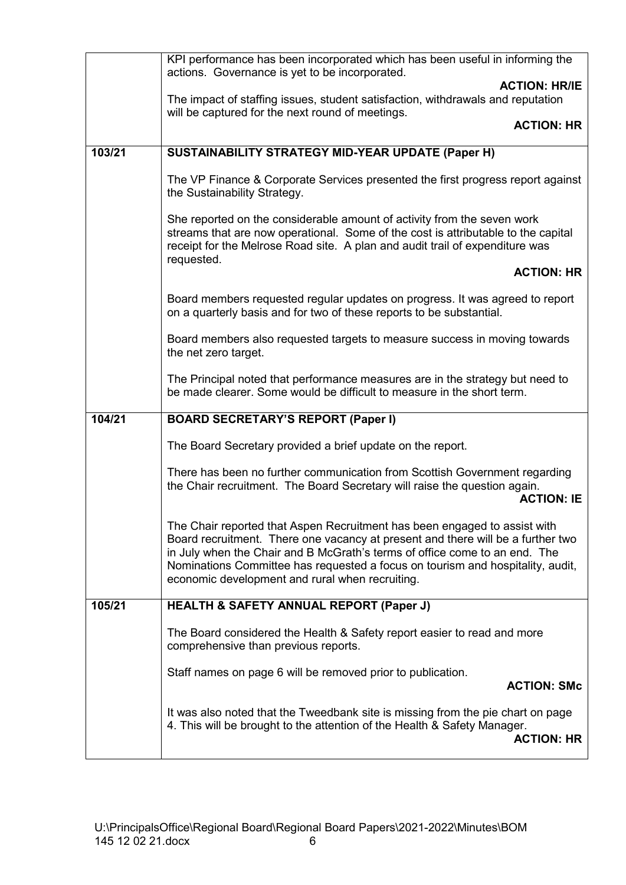|        | KPI performance has been incorporated which has been useful in informing the<br>actions. Governance is yet to be incorporated.                                                                                                                                                                                                                                                  |
|--------|---------------------------------------------------------------------------------------------------------------------------------------------------------------------------------------------------------------------------------------------------------------------------------------------------------------------------------------------------------------------------------|
|        | <b>ACTION: HR/IE</b><br>The impact of staffing issues, student satisfaction, withdrawals and reputation                                                                                                                                                                                                                                                                         |
|        | will be captured for the next round of meetings.<br><b>ACTION: HR</b>                                                                                                                                                                                                                                                                                                           |
|        |                                                                                                                                                                                                                                                                                                                                                                                 |
| 103/21 | SUSTAINABILITY STRATEGY MID-YEAR UPDATE (Paper H)                                                                                                                                                                                                                                                                                                                               |
|        | The VP Finance & Corporate Services presented the first progress report against<br>the Sustainability Strategy.                                                                                                                                                                                                                                                                 |
|        | She reported on the considerable amount of activity from the seven work<br>streams that are now operational. Some of the cost is attributable to the capital<br>receipt for the Melrose Road site. A plan and audit trail of expenditure was<br>requested.                                                                                                                      |
|        | <b>ACTION: HR</b>                                                                                                                                                                                                                                                                                                                                                               |
|        | Board members requested regular updates on progress. It was agreed to report<br>on a quarterly basis and for two of these reports to be substantial.                                                                                                                                                                                                                            |
|        | Board members also requested targets to measure success in moving towards<br>the net zero target.                                                                                                                                                                                                                                                                               |
|        | The Principal noted that performance measures are in the strategy but need to<br>be made clearer. Some would be difficult to measure in the short term.                                                                                                                                                                                                                         |
| 104/21 | <b>BOARD SECRETARY'S REPORT (Paper I)</b>                                                                                                                                                                                                                                                                                                                                       |
|        | The Board Secretary provided a brief update on the report.                                                                                                                                                                                                                                                                                                                      |
|        | There has been no further communication from Scottish Government regarding<br>the Chair recruitment. The Board Secretary will raise the question again.<br><b>ACTION: IE</b>                                                                                                                                                                                                    |
|        | The Chair reported that Aspen Recruitment has been engaged to assist with<br>Board recruitment. There one vacancy at present and there will be a further two<br>in July when the Chair and B McGrath's terms of office come to an end. The<br>Nominations Committee has requested a focus on tourism and hospitality, audit,<br>economic development and rural when recruiting. |
| 105/21 | <b>HEALTH &amp; SAFETY ANNUAL REPORT (Paper J)</b>                                                                                                                                                                                                                                                                                                                              |
|        | The Board considered the Health & Safety report easier to read and more<br>comprehensive than previous reports.                                                                                                                                                                                                                                                                 |
|        | Staff names on page 6 will be removed prior to publication.<br><b>ACTION: SMc</b>                                                                                                                                                                                                                                                                                               |
|        | It was also noted that the Tweedbank site is missing from the pie chart on page<br>4. This will be brought to the attention of the Health & Safety Manager.<br><b>ACTION: HR</b>                                                                                                                                                                                                |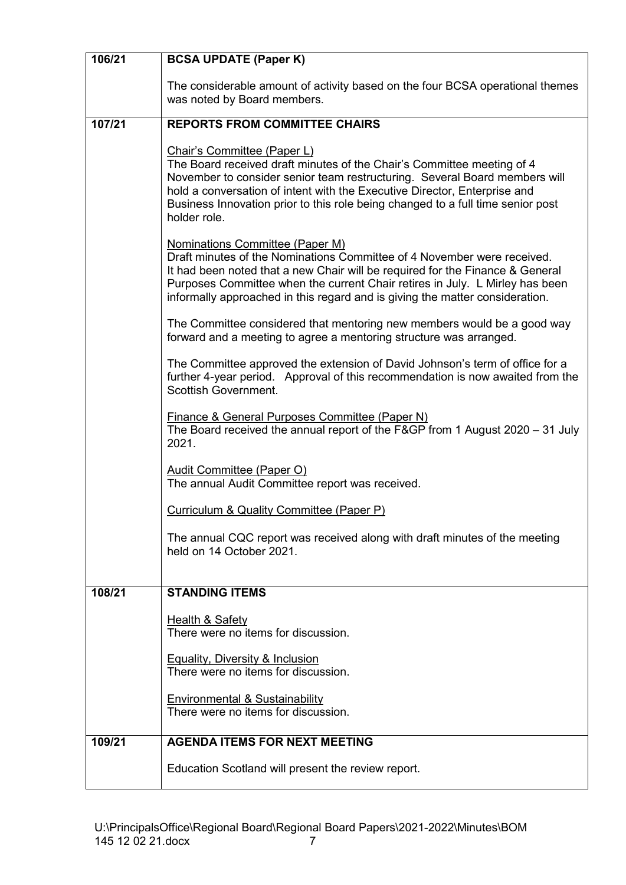| 106/21 | <b>BCSA UPDATE (Paper K)</b>                                                                                                                                                                                                                                                                                                                                        |
|--------|---------------------------------------------------------------------------------------------------------------------------------------------------------------------------------------------------------------------------------------------------------------------------------------------------------------------------------------------------------------------|
|        | The considerable amount of activity based on the four BCSA operational themes<br>was noted by Board members.                                                                                                                                                                                                                                                        |
| 107/21 | <b>REPORTS FROM COMMITTEE CHAIRS</b>                                                                                                                                                                                                                                                                                                                                |
|        | Chair's Committee (Paper L)<br>The Board received draft minutes of the Chair's Committee meeting of 4<br>November to consider senior team restructuring. Several Board members will<br>hold a conversation of intent with the Executive Director, Enterprise and<br>Business Innovation prior to this role being changed to a full time senior post<br>holder role. |
|        | <b>Nominations Committee (Paper M)</b><br>Draft minutes of the Nominations Committee of 4 November were received.<br>It had been noted that a new Chair will be required for the Finance & General<br>Purposes Committee when the current Chair retires in July. L Mirley has been<br>informally approached in this regard and is giving the matter consideration.  |
|        | The Committee considered that mentoring new members would be a good way<br>forward and a meeting to agree a mentoring structure was arranged.                                                                                                                                                                                                                       |
|        | The Committee approved the extension of David Johnson's term of office for a<br>further 4-year period. Approval of this recommendation is now awaited from the<br><b>Scottish Government.</b>                                                                                                                                                                       |
|        | Finance & General Purposes Committee (Paper N)<br>The Board received the annual report of the F&GP from 1 August 2020 - 31 July<br>2021.                                                                                                                                                                                                                            |
|        | Audit Committee (Paper O)<br>The annual Audit Committee report was received.                                                                                                                                                                                                                                                                                        |
|        | Curriculum & Quality Committee (Paper P)                                                                                                                                                                                                                                                                                                                            |
|        | The annual CQC report was received along with draft minutes of the meeting<br>held on 14 October 2021.                                                                                                                                                                                                                                                              |
| 108/21 | <b>STANDING ITEMS</b>                                                                                                                                                                                                                                                                                                                                               |
|        | <b>Health &amp; Safety</b>                                                                                                                                                                                                                                                                                                                                          |
|        | There were no items for discussion.                                                                                                                                                                                                                                                                                                                                 |
|        | <b>Equality, Diversity &amp; Inclusion</b><br>There were no items for discussion.                                                                                                                                                                                                                                                                                   |
|        | <b>Environmental &amp; Sustainability</b><br>There were no items for discussion.                                                                                                                                                                                                                                                                                    |
| 109/21 | <b>AGENDA ITEMS FOR NEXT MEETING</b>                                                                                                                                                                                                                                                                                                                                |
|        | Education Scotland will present the review report.                                                                                                                                                                                                                                                                                                                  |